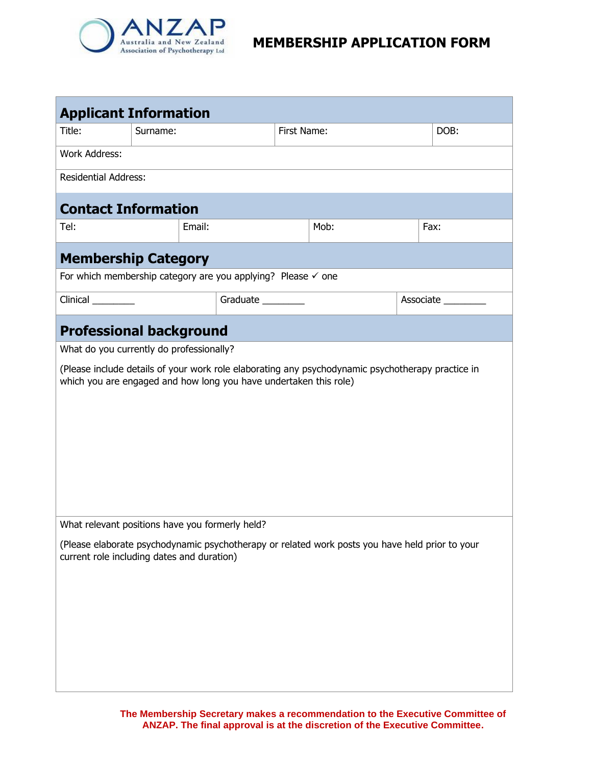

| <b>Applicant Information</b>                                                                                                                                           |                                                 |                   |             |                                                                                                 |  |      |  |
|------------------------------------------------------------------------------------------------------------------------------------------------------------------------|-------------------------------------------------|-------------------|-------------|-------------------------------------------------------------------------------------------------|--|------|--|
| Title:                                                                                                                                                                 | Surname:                                        |                   | First Name: |                                                                                                 |  | DOB: |  |
| <b>Work Address:</b>                                                                                                                                                   |                                                 |                   |             |                                                                                                 |  |      |  |
| <b>Residential Address:</b>                                                                                                                                            |                                                 |                   |             |                                                                                                 |  |      |  |
| <b>Contact Information</b>                                                                                                                                             |                                                 |                   |             |                                                                                                 |  |      |  |
| Tel:                                                                                                                                                                   | Email:                                          |                   |             | Mob:                                                                                            |  | Fax: |  |
| <b>Membership Category</b>                                                                                                                                             |                                                 |                   |             |                                                                                                 |  |      |  |
| For which membership category are you applying? Please $\checkmark$ one                                                                                                |                                                 |                   |             |                                                                                                 |  |      |  |
| Clinical                                                                                                                                                               |                                                 | Graduate ________ |             | Associate                                                                                       |  |      |  |
|                                                                                                                                                                        | <b>Professional background</b>                  |                   |             |                                                                                                 |  |      |  |
|                                                                                                                                                                        | What do you currently do professionally?        |                   |             |                                                                                                 |  |      |  |
| (Please include details of your work role elaborating any psychodynamic psychotherapy practice in<br>which you are engaged and how long you have undertaken this role) |                                                 |                   |             |                                                                                                 |  |      |  |
|                                                                                                                                                                        | What relevant positions have you formerly held? |                   |             |                                                                                                 |  |      |  |
|                                                                                                                                                                        | current role including dates and duration)      |                   |             | (Please elaborate psychodynamic psychotherapy or related work posts you have held prior to your |  |      |  |

**The Membership Secretary makes a recommendation to the Executive Committee of ANZAP. The final approval is at the discretion of the Executive Committee.**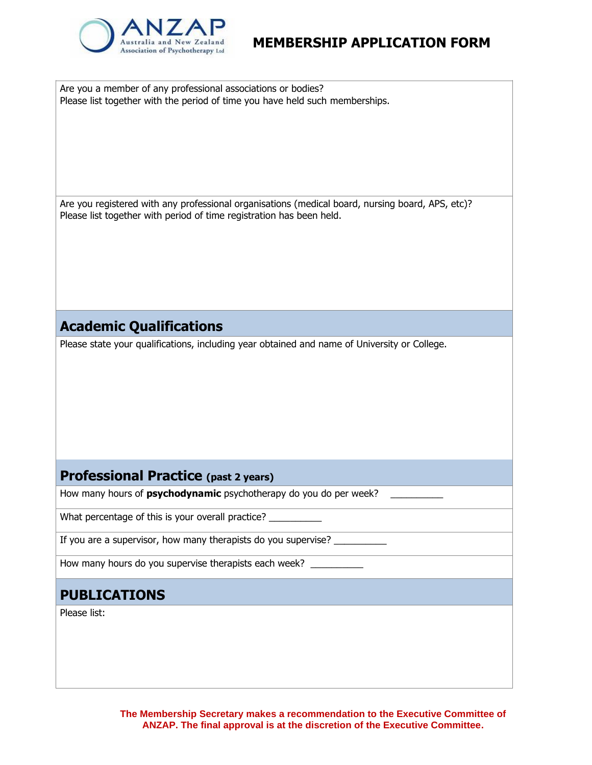

Are you a member of any professional associations or bodies? Please list together with the period of time you have held such memberships.

Are you registered with any professional organisations (medical board, nursing board, APS, etc)? Please list together with period of time registration has been held.

### **Academic Qualifications**

Please state your qualifications, including year obtained and name of University or College.

### **Professional Practice (past 2 years)**

How many hours of **psychodynamic** psychotherapy do you do per week? \_\_\_\_\_\_\_\_\_\_

What percentage of this is your overall practice?

If you are a supervisor, how many therapists do you supervise?

How many hours do you supervise therapists each week?

## **PUBLICATIONS**

Please list: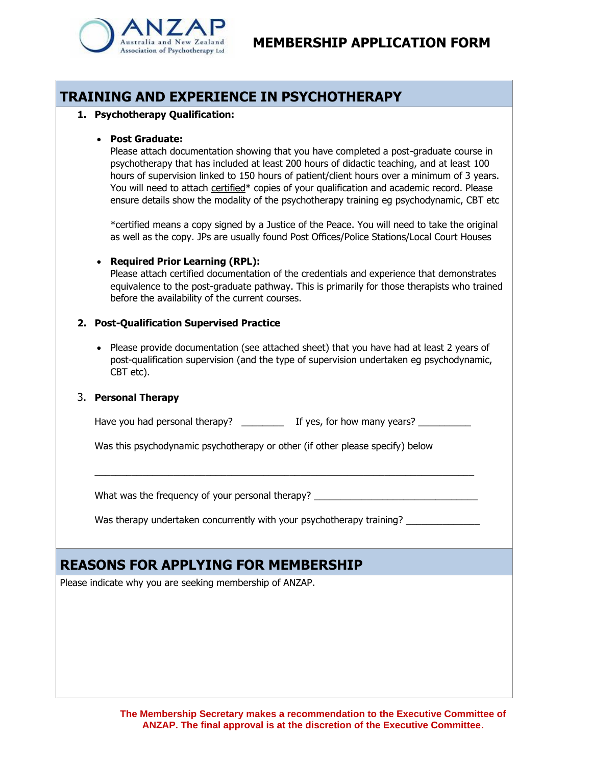



## **TRAINING AND EXPERIENCE IN PSYCHOTHERAPY**

#### **1. Psychotherapy Qualification:**

#### • **Post Graduate:**

Please attach documentation showing that you have completed a post-graduate course in psychotherapy that has included at least 200 hours of didactic teaching, and at least 100 hours of supervision linked to 150 hours of patient/client hours over a minimum of 3 years. You will need to attach certified\* copies of your qualification and academic record. Please ensure details show the modality of the psychotherapy training eg psychodynamic, CBT etc

\*certified means a copy signed by a Justice of the Peace. You will need to take the original as well as the copy. JPs are usually found Post Offices/Police Stations/Local Court Houses

#### • **Required Prior Learning (RPL):**

Please attach certified documentation of the credentials and experience that demonstrates equivalence to the post-graduate pathway. This is primarily for those therapists who trained before the availability of the current courses.

#### **2. Post-Qualification Supervised Practice**

• Please provide documentation (see attached sheet) that you have had at least 2 years of post-qualification supervision (and the type of supervision undertaken eg psychodynamic, CBT etc).

#### 3. **Personal Therapy**

Have you had personal therapy? \_\_\_\_\_\_\_\_\_\_ If yes, for how many years? \_\_\_\_\_\_\_\_\_\_

 $\_$  , and the set of the set of the set of the set of the set of the set of the set of the set of the set of the set of the set of the set of the set of the set of the set of the set of the set of the set of the set of th

Was this psychodynamic psychotherapy or other (if other please specify) below

What was the frequency of your personal therapy? \_\_\_\_\_\_\_\_\_\_\_\_\_\_\_\_\_\_\_\_\_\_\_\_\_\_\_\_\_\_\_

Was therapy undertaken concurrently with your psychotherapy training?

## **REASONS FOR APPLYING FOR MEMBERSHIP**

Please indicate why you are seeking membership of ANZAP.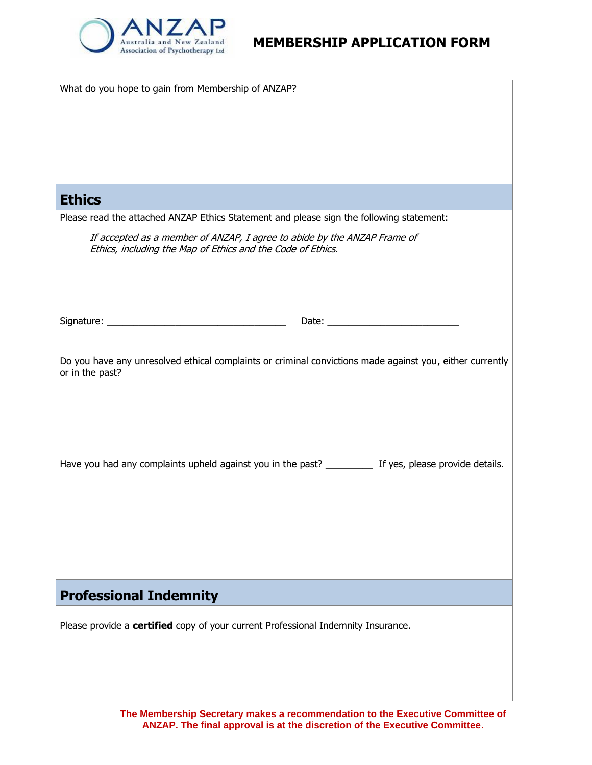

| What do you hope to gain from Membership of ANZAP?                                                                                                                                                                                    |  |  |  |  |
|---------------------------------------------------------------------------------------------------------------------------------------------------------------------------------------------------------------------------------------|--|--|--|--|
| <b>Ethics</b><br>Please read the attached ANZAP Ethics Statement and please sign the following statement:                                                                                                                             |  |  |  |  |
| If accepted as a member of ANZAP, I agree to abide by the ANZAP Frame of<br>Ethics, including the Map of Ethics and the Code of Ethics.                                                                                               |  |  |  |  |
|                                                                                                                                                                                                                                       |  |  |  |  |
| Do you have any unresolved ethical complaints or criminal convictions made against you, either currently<br>or in the past?<br>Have you had any complaints upheld against you in the past? __________ If yes, please provide details. |  |  |  |  |
| <b>Professional Indemnity</b>                                                                                                                                                                                                         |  |  |  |  |
| Please provide a certified copy of your current Professional Indemnity Insurance.                                                                                                                                                     |  |  |  |  |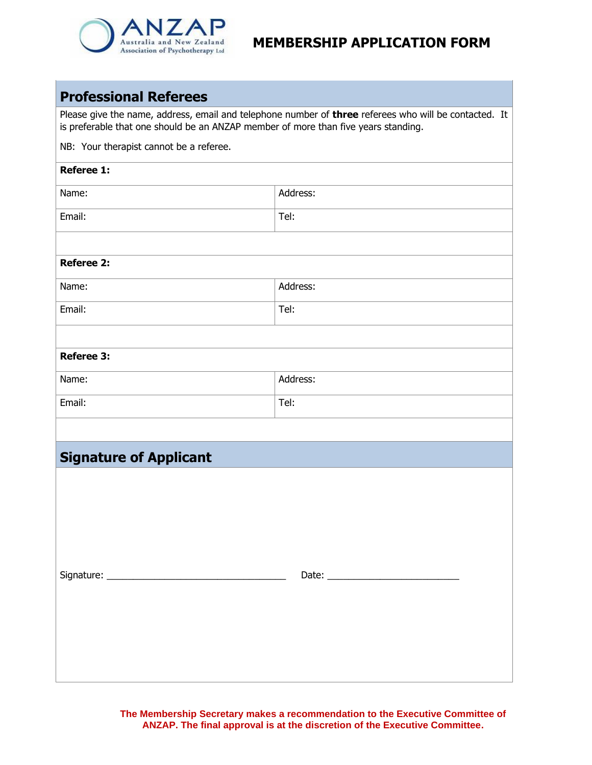

### **Professional Referees**

Please give the name, address, email and telephone number of **three** referees who will be contacted. It is preferable that one should be an ANZAP member of more than five years standing.

NB: Your therapist cannot be a referee.

| <b>Referee 1:</b>             |          |  |  |  |  |
|-------------------------------|----------|--|--|--|--|
| Name:                         | Address: |  |  |  |  |
| Email:                        | Tel:     |  |  |  |  |
|                               |          |  |  |  |  |
| <b>Referee 2:</b>             |          |  |  |  |  |
| Name:                         | Address: |  |  |  |  |
| Email:                        | Tel:     |  |  |  |  |
|                               |          |  |  |  |  |
| <b>Referee 3:</b>             |          |  |  |  |  |
| Name:                         | Address: |  |  |  |  |
| Email:                        | Tel:     |  |  |  |  |
|                               |          |  |  |  |  |
| <b>Signature of Applicant</b> |          |  |  |  |  |
|                               |          |  |  |  |  |
|                               |          |  |  |  |  |
|                               |          |  |  |  |  |
|                               |          |  |  |  |  |
|                               |          |  |  |  |  |
|                               |          |  |  |  |  |
|                               |          |  |  |  |  |
|                               |          |  |  |  |  |
|                               |          |  |  |  |  |
|                               |          |  |  |  |  |

**The Membership Secretary makes a recommendation to the Executive Committee of ANZAP. The final approval is at the discretion of the Executive Committee.**